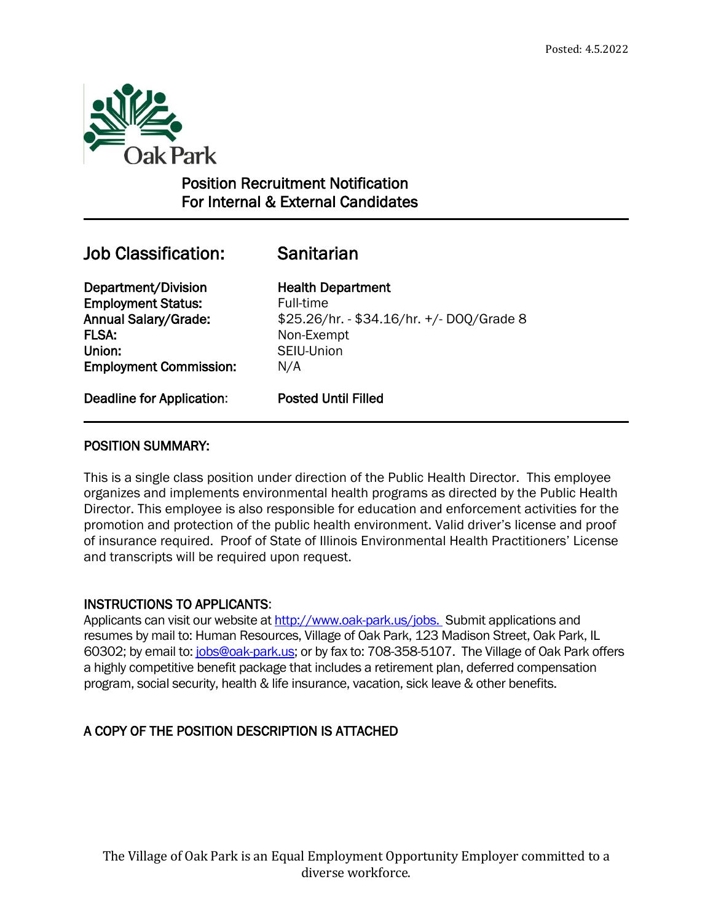

# Position Recruitment Notification For Internal & External Candidates

# Job Classification: Sanitarian

 $\overline{a}$ 

Department/Division Health Department **Employment Status:** Full-time FLSA: Non-Exempt Union: SEIU-Union Employment Commission: N/A

Annual Salary/Grade: \$25.26/hr. - \$34.16/hr. +/- DOQ/Grade 8

Deadline for Application: Posted Until Filled

## POSITION SUMMARY:

This is a single class position under direction of the Public Health Director. This employee organizes and implements environmental health programs as directed by the Public Health Director. This employee is also responsible for education and enforcement activities for the promotion and protection of the public health environment. Valid driver's license and proof of insurance required. Proof of State of Illinois Environmental Health Practitioners' License and transcripts will be required upon request.

## INSTRUCTIONS TO APPLICANTS:

Applicants can visit our website at<http://www.oak-park.us/jobs.>Submit applications and resumes by mail to: Human Resources, Village of Oak Park, 123 Madison Street, Oak Park, IL 60302; by email to: [jobs@oak-park.us;](mailto:jobs@oak-park.us) or by fax to: 708-358-5107. The Village of Oak Park offers a highly competitive benefit package that includes a retirement plan, deferred compensation program, social security, health & life insurance, vacation, sick leave & other benefits.

# A COPY OF THE POSITION DESCRIPTION IS ATTACHED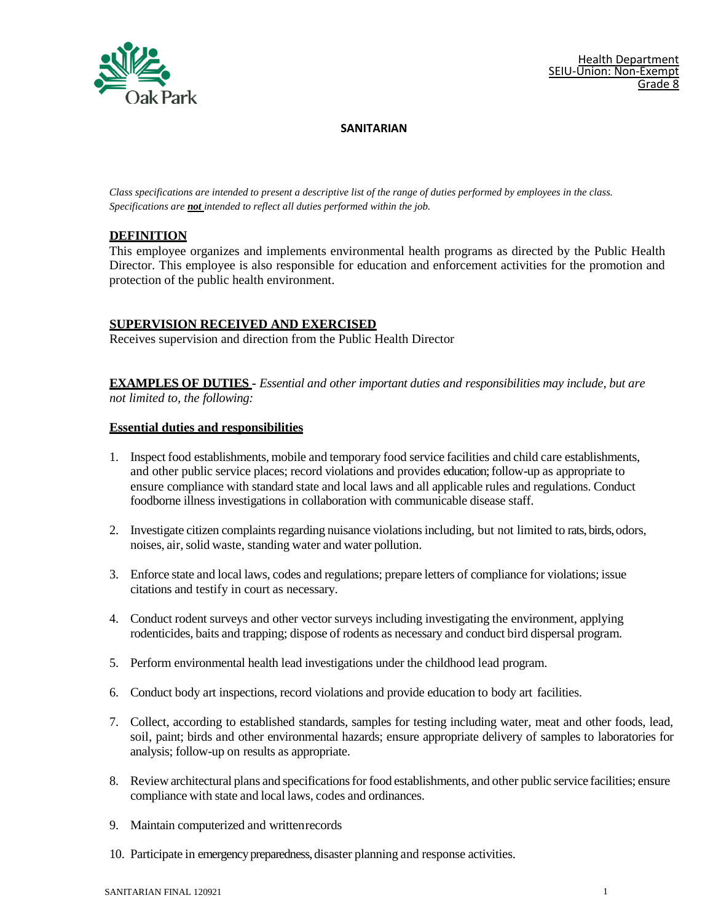

*Class specifications are intended to present a descriptive list of the range of duties performed by employees in the class. Specifications are not intended to reflect all duties performed within the job.*

### **DEFINITION**

This employee organizes and implements environmental health programs as directed by the Public Health Director. This employee is also responsible for education and enforcement activities for the promotion and protection of the public health environment.

### **SUPERVISION RECEIVED AND EXERCISED**

Receives supervision and direction from the Public Health Director

**EXAMPLES OF DUTIES -** *Essential and other important duties and responsibilities may include, but are not limited to, the following:*

#### **Essential duties and responsibilities**

- 1. Inspect food establishments, mobile and temporary food service facilities and child care establishments, and other public service places; record violations and provides education; follow-up as appropriate to ensure compliance with standard state and local laws and all applicable rules and regulations. Conduct foodborne illness investigations in collaboration with communicable disease staff.
- 2. Investigate citizen complaints regarding nuisance violations including, but not limited to rats, birds, odors, noises, air,solid waste, standing water and water pollution.
- 3. Enforce state and local laws, codes and regulations; prepare letters of compliance for violations; issue citations and testify in court as necessary.
- 4. Conduct rodent surveys and other vector surveys including investigating the environment, applying rodenticides, baits and trapping; dispose of rodents as necessary and conduct bird dispersal program.
- 5. Perform environmental health lead investigations under the childhood lead program.
- 6. Conduct body art inspections, record violations and provide education to body art facilities.
- 7. Collect, according to established standards, samples for testing including water, meat and other foods, lead, soil, paint; birds and other environmental hazards; ensure appropriate delivery of samples to laboratories for analysis; follow-up on results as appropriate.
- 8. Review architectural plans and specifications for food establishments, and other public service facilities; ensure compliance with state and local laws, codes and ordinances.
- 9. Maintain computerized and writtenrecords
- 10. Participate in emergency preparedness, disaster planning and response activities.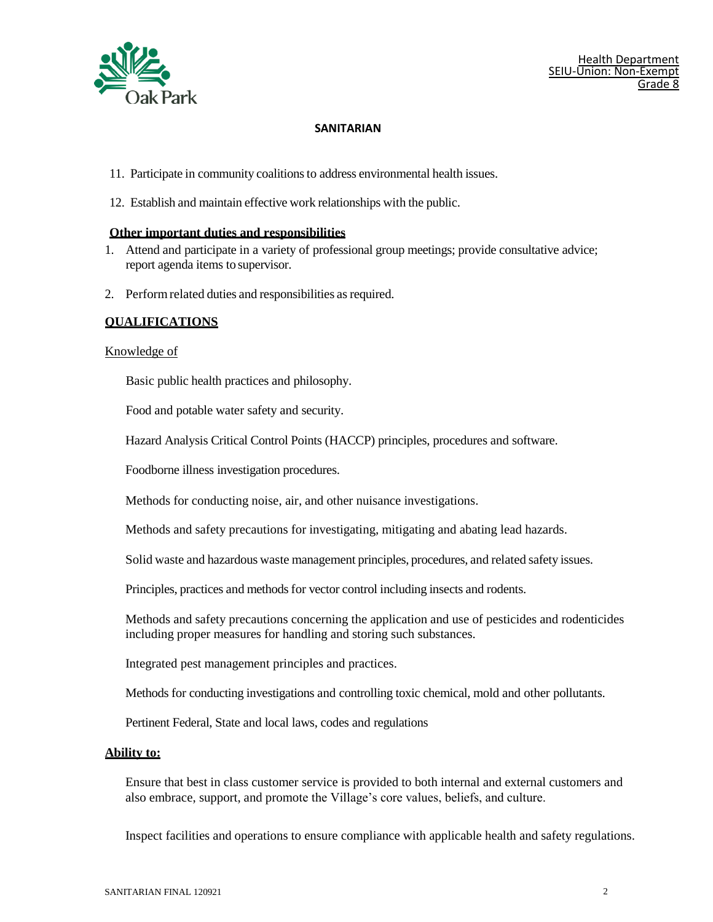

- 11. Participate in community coalitionsto address environmental health issues.
- 12. Establish and maintain effective work relationships with the public.

#### **Other important duties and responsibilities**

- 1. Attend and participate in a variety of professional group meetings; provide consultative advice; report agenda items to supervisor.
- 2. Perform related duties and responsibilities as required.

#### **QUALIFICATIONS**

#### Knowledge of

Basic public health practices and philosophy.

Food and potable water safety and security.

Hazard Analysis Critical Control Points (HACCP) principles, procedures and software.

Foodborne illness investigation procedures.

Methods for conducting noise, air, and other nuisance investigations.

Methods and safety precautions for investigating, mitigating and abating lead hazards.

Solid waste and hazardous waste management principles, procedures, and related safety issues.

Principles, practices and methods for vector control including insects and rodents.

Methods and safety precautions concerning the application and use of pesticides and rodenticides including proper measures for handling and storing such substances.

Integrated pest management principles and practices.

Methods for conducting investigations and controlling toxic chemical, mold and other pollutants.

Pertinent Federal, State and local laws, codes and regulations

#### **Ability to:**

Ensure that best in class customer service is provided to both internal and external customers and also embrace, support, and promote the Village's core values, beliefs, and culture.

Inspect facilities and operations to ensure compliance with applicable health and safety regulations.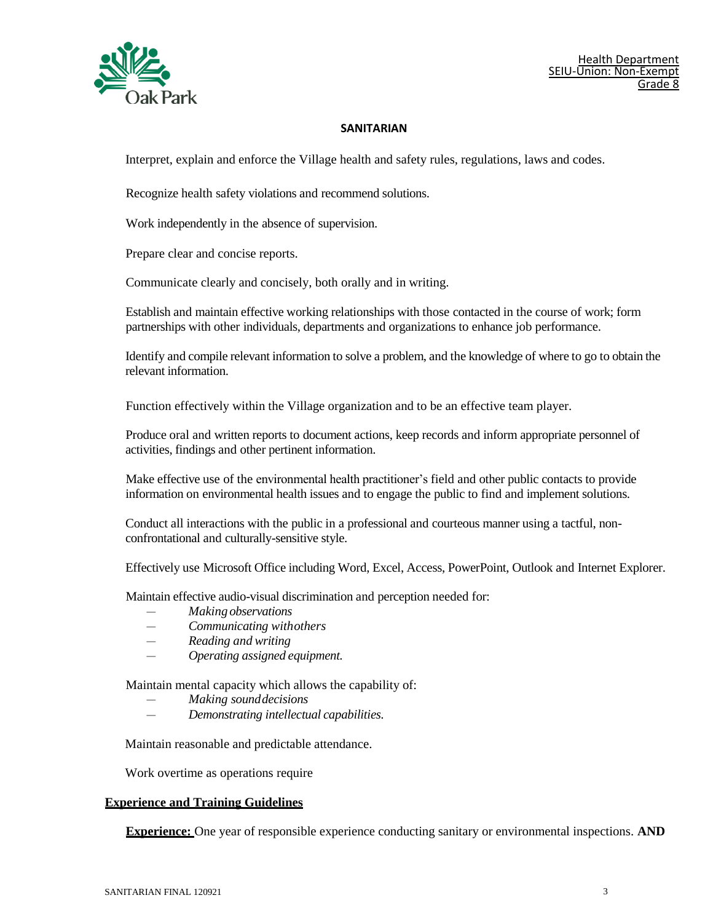

Interpret, explain and enforce the Village health and safety rules, regulations, laws and codes.

Recognize health safety violations and recommend solutions.

Work independently in the absence of supervision.

Prepare clear and concise reports.

Communicate clearly and concisely, both orally and in writing.

Establish and maintain effective working relationships with those contacted in the course of work; form partnerships with other individuals, departments and organizations to enhance job performance.

Identify and compile relevant information to solve a problem, and the knowledge of where to go to obtain the relevant information.

Function effectively within the Village organization and to be an effective team player.

Produce oral and written reports to document actions, keep records and inform appropriate personnel of activities, findings and other pertinent information.

Make effective use of the environmental health practitioner's field and other public contacts to provide information on environmental health issues and to engage the public to find and implement solutions.

Conduct all interactions with the public in a professional and courteous manner using a tactful, nonconfrontational and culturally-sensitive style.

Effectively use Microsoft Office including Word, Excel, Access, PowerPoint, Outlook and Internet Explorer.

Maintain effective audio-visual discrimination and perception needed for:

- *— Making observations*
- *— Communicating withothers*
- *— Reading and writing*
- *— Operating assigned equipment.*

Maintain mental capacity which allows the capability of:

- *— Making sounddecisions*
- *— Demonstrating intellectual capabilities.*

Maintain reasonable and predictable attendance.

Work overtime as operations require

#### **Experience and Training Guidelines**

**Experience:** One year of responsible experience conducting sanitary or environmental inspections. **AND**